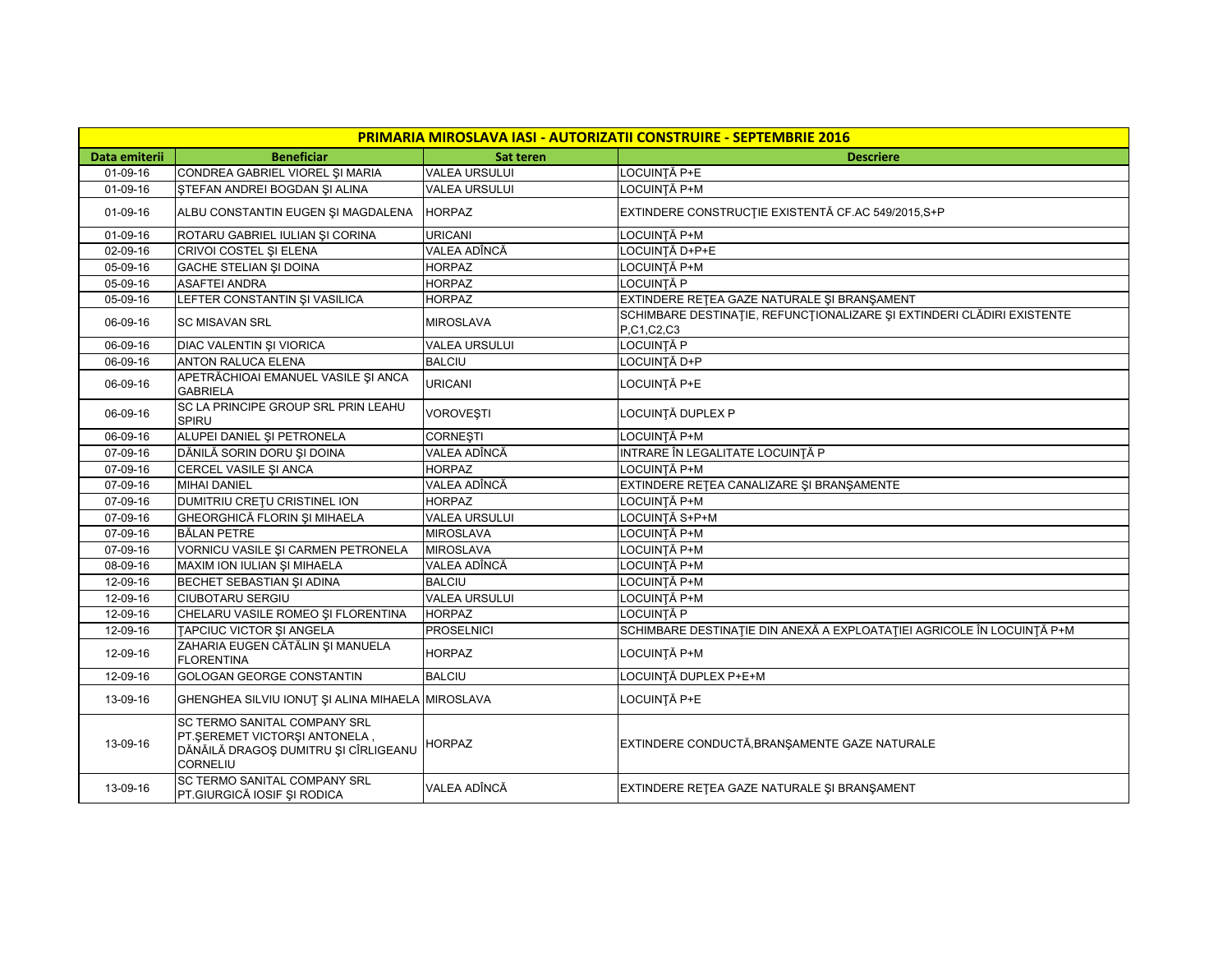| <b>PRIMARIA MIROSLAVA IASI - AUTORIZATII CONSTRUIRE - SEPTEMBRIE 2016</b> |                                                                                                                          |                      |                                                                                      |  |  |  |
|---------------------------------------------------------------------------|--------------------------------------------------------------------------------------------------------------------------|----------------------|--------------------------------------------------------------------------------------|--|--|--|
| Data emiterii                                                             | <b>Beneficiar</b>                                                                                                        | <b>Sat teren</b>     | <b>Descriere</b>                                                                     |  |  |  |
| $01-09-16$                                                                | CONDREA GABRIEL VIOREL ȘI MARIA                                                                                          | <b>VALEA URSULUI</b> | LOCUINTĂ P+E                                                                         |  |  |  |
| $01-09-16$                                                                | STEFAN ANDREI BOGDAN ŞI ALINA                                                                                            | <b>VALEA URSULUI</b> | <b>LOCUINȚĂ P+M</b>                                                                  |  |  |  |
| 01-09-16                                                                  | ALBU CONSTANTIN EUGEN ȘI MAGDALENA                                                                                       | <b>HORPAZ</b>        | EXTINDERE CONSTRUCTIE EXISTENTĂ CF.AC 549/2015, S+P                                  |  |  |  |
| 01-09-16                                                                  | ROTARU GABRIEL IULIAN ȘI CORINA                                                                                          | <b>URICANI</b>       | LOCUINȚĂ P+M                                                                         |  |  |  |
| 02-09-16                                                                  | CRIVOI COSTEL ȘI ELENA                                                                                                   | VALEA ADÎNCĂ         | LOCUINȚĂ D+P+E                                                                       |  |  |  |
| 05-09-16                                                                  | <b>GACHE STELIAN ȘI DOINA</b>                                                                                            | <b>HORPAZ</b>        | LOCUINTĂ P+M                                                                         |  |  |  |
| 05-09-16                                                                  | <b>ASAFTEI ANDRA</b>                                                                                                     | <b>HORPAZ</b>        | LOCUINTĂ P                                                                           |  |  |  |
| 05-09-16                                                                  | LEFTER CONSTANTIN ȘI VASILICA                                                                                            | <b>HORPAZ</b>        | EXTINDERE RETEA GAZE NATURALE ȘI BRANȘAMENT                                          |  |  |  |
| 06-09-16                                                                  | <b>SC MISAVAN SRL</b>                                                                                                    | <b>MIROSLAVA</b>     | SCHIMBARE DESTINAȚIE, REFUNCȚIONALIZARE ȘI EXTINDERI CLĂDIRI EXISTENTE<br>P,C1,C2,C3 |  |  |  |
| 06-09-16                                                                  | DIAC VALENTIN ȘI VIORICA                                                                                                 | <b>VALEA URSULUI</b> | LOCUINȚĂ P                                                                           |  |  |  |
| 06-09-16                                                                  | <b>ANTON RALUCA ELENA</b>                                                                                                | <b>BALCIU</b>        | LOCUINTĂ D+P                                                                         |  |  |  |
| 06-09-16                                                                  | APETRĂCHIOAI EMANUEL VASILE ȘI ANCA<br><b>GABRIELA</b>                                                                   | <b>URICANI</b>       | LOCUINTĂ P+E                                                                         |  |  |  |
| 06-09-16                                                                  | SC LA PRINCIPE GROUP SRL PRIN LEAHU<br><b>SPIRU</b>                                                                      | <b>VOROVEŞTI</b>     | LOCUINTĂ DUPLEX P                                                                    |  |  |  |
| 06-09-16                                                                  | ALUPEI DANIEL ȘI PETRONELA                                                                                               | <b>CORNESTI</b>      | LOCUINTĂ P+M                                                                         |  |  |  |
| 07-09-16                                                                  | DĂNILĂ SORIN DORU ȘI DOINA                                                                                               | VALEA ADÎNCĂ         | INTRARE ÎN LEGALITATE LOCUINȚĂ P                                                     |  |  |  |
| 07-09-16                                                                  | CERCEL VASILE ȘI ANCA                                                                                                    | <b>HORPAZ</b>        | LOCUINTĂ P+M                                                                         |  |  |  |
| 07-09-16                                                                  | <b>MIHAI DANIEL</b>                                                                                                      | VALEA ADÎNCĂ         | EXTINDERE REȚEA CANALIZARE ȘI BRANȘAMENTE                                            |  |  |  |
| 07-09-16                                                                  | DUMITRIU CREȚU CRISTINEL ION                                                                                             | <b>HORPAZ</b>        | LOCUINTĂ P+M                                                                         |  |  |  |
| 07-09-16                                                                  | GHEORGHICĂ FLORIN ȘI MIHAELA                                                                                             | <b>VALEA URSULUI</b> | LOCUINTĂ S+P+M                                                                       |  |  |  |
| 07-09-16                                                                  | <b>BĂLAN PETRE</b>                                                                                                       | <b>MIROSLAVA</b>     | LOCUINTĂ P+M                                                                         |  |  |  |
| 07-09-16                                                                  | VORNICU VASILE ȘI CARMEN PETRONELA                                                                                       | <b>MIROSLAVA</b>     | LOCUINTĂ P+M                                                                         |  |  |  |
| 08-09-16                                                                  | MAXIM ION IULIAN ȘI MIHAELA                                                                                              | VALEA ADÎNCĂ         | LOCUINTĂ P+M                                                                         |  |  |  |
| 12-09-16                                                                  | BECHET SEBASTIAN ȘI ADINA                                                                                                | <b>BALCIU</b>        | LOCUINTĂ P+M                                                                         |  |  |  |
| 12-09-16                                                                  | <b>CIUBOTARU SERGIU</b>                                                                                                  | <b>VALEA URSULUI</b> | LOCUINTĂ P+M                                                                         |  |  |  |
| 12-09-16                                                                  | CHELARU VASILE ROMEO ȘI FLORENTINA                                                                                       | <b>HORPAZ</b>        | LOCUINTĂ P                                                                           |  |  |  |
| 12-09-16                                                                  | TAPCIUC VICTOR SI ANGELA                                                                                                 | <b>PROSELNICI</b>    | SCHIMBARE DESTINAȚIE DIN ANEXĂ A EXPLOATAȚIEI AGRICOLE ÎN LOCUINȚĂ P+M               |  |  |  |
| 12-09-16                                                                  | ZAHARIA EUGEN CĂTĂLIN ȘI MANUELA<br><b>FLORENTINA</b>                                                                    | <b>HORPAZ</b>        | LOCUINTĂ P+M                                                                         |  |  |  |
| 12-09-16                                                                  | <b>GOLOGAN GEORGE CONSTANTIN</b>                                                                                         | <b>BALCIU</b>        | LOCUINȚĂ DUPLEX P+E+M                                                                |  |  |  |
| 13-09-16                                                                  | GHENGHEA SILVIU IONUȚ ȘI ALINA MIHAELA MIROSLAVA                                                                         |                      | LOCUINTĂ P+E                                                                         |  |  |  |
| 13-09-16                                                                  | SC TERMO SANITAL COMPANY SRL<br>PT.SEREMET VICTORSI ANTONELA,<br>DĂNĂILĂ DRAGOȘ DUMITRU ȘI CÎRLIGEANU<br><b>CORNELIU</b> | <b>HORPAZ</b>        | EXTINDERE CONDUCTĂ, BRANȘAMENTE GAZE NATURALE                                        |  |  |  |
| 13-09-16                                                                  | SC TERMO SANITAL COMPANY SRL<br>PT.GIURGICĂ IOSIF ȘI RODICA                                                              | VALEA ADÎNCĂ         | EXTINDERE RETEA GAZE NATURALE ȘI BRANȘAMENT                                          |  |  |  |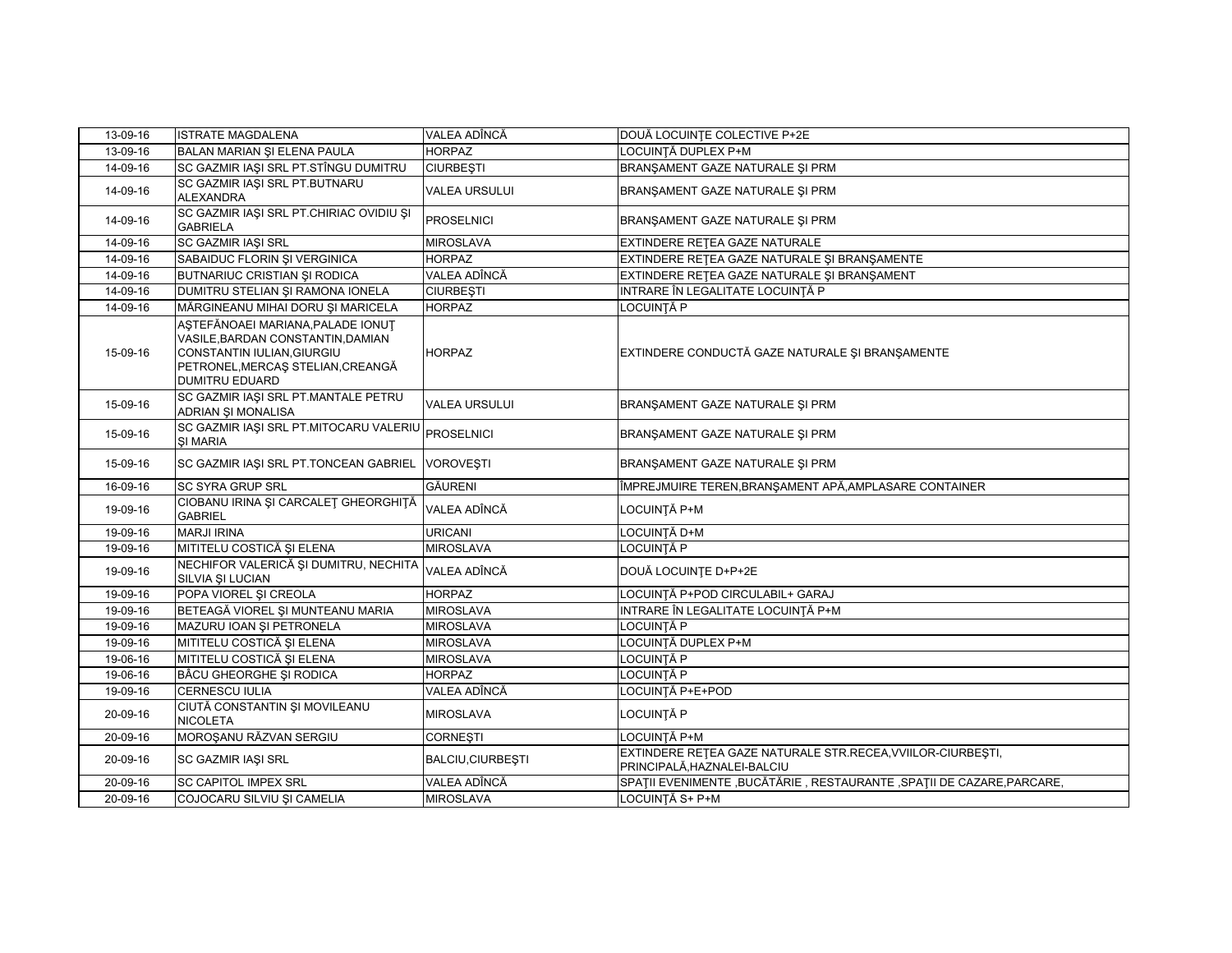| 13-09-16 | <b>ISTRATE MAGDALENA</b>                                                                                                                                           | VALEA ADÎNCĂ         | DOUĂ LOCUINȚE COLECTIVE P+2E                                                               |
|----------|--------------------------------------------------------------------------------------------------------------------------------------------------------------------|----------------------|--------------------------------------------------------------------------------------------|
| 13-09-16 | BALAN MARIAN SI ELENA PAULA                                                                                                                                        | <b>HORPAZ</b>        | LOCUINȚĂ DUPLEX P+M                                                                        |
| 14-09-16 | SC GAZMIR IAȘI SRL PT.STÎNGU DUMITRU                                                                                                                               | <b>CIURBEȘTI</b>     | BRANŞAMENT GAZE NATURALE ŞI PRM                                                            |
| 14-09-16 | SC GAZMIR IAŞI SRL PT.BUTNARU<br><b>ALEXANDRA</b>                                                                                                                  | <b>VALEA URSULUI</b> | BRANŞAMENT GAZE NATURALE ŞI PRM                                                            |
| 14-09-16 | SC GAZMIR IASI SRL PT.CHIRIAC OVIDIU SI<br><b>GABRIELA</b>                                                                                                         | <b>PROSELNICI</b>    | BRANSAMENT GAZE NATURALE SI PRM                                                            |
| 14-09-16 | <b>SC GAZMIR IASI SRL</b>                                                                                                                                          | <b>MIROSLAVA</b>     | EXTINDERE RETEA GAZE NATURALE                                                              |
| 14-09-16 | SABAIDUC FLORIN ȘI VERGINICA                                                                                                                                       | <b>HORPAZ</b>        | EXTINDERE REȚEA GAZE NATURALE ȘI BRANȘAMENTE                                               |
| 14-09-16 | <b>BUTNARIUC CRISTIAN ȘI RODICA</b>                                                                                                                                | VALEA ADÎNCĂ         | EXTINDERE RETEA GAZE NATURALE ȘI BRANȘAMENT                                                |
| 14-09-16 | DUMITRU STELIAN ȘI RAMONA IONELA                                                                                                                                   | <b>CIURBESTI</b>     | INTRARE ÎN LEGALITATE LOCUINȚĂ P                                                           |
| 14-09-16 | MĂRGINEANU MIHAI DORU ȘI MARICELA                                                                                                                                  | <b>HORPAZ</b>        | <b>LOCUINȚĂ P</b>                                                                          |
| 15-09-16 | ASTEFĂNOAEI MARIANA, PALADE IONUT<br>VASILE, BARDAN CONSTANTIN, DAMIAN<br>CONSTANTIN IULIAN, GIURGIU<br>PETRONEL, MERCAŞ STELIAN, CREANGĂ<br><b>DUMITRU EDUARD</b> | <b>HORPAZ</b>        | EXTINDERE CONDUCTĂ GAZE NATURALE ȘI BRANȘAMENTE                                            |
| 15-09-16 | SC GAZMIR IAȘI SRL PT.MANTALE PETRU<br><b>ADRIAN SI MONALISA</b>                                                                                                   | <b>VALEA URSULUI</b> | BRANSAMENT GAZE NATURALE SI PRM                                                            |
| 15-09-16 | SC GAZMIR IAŞI SRL PT.MITOCARU VALERIU<br><b>ŞI MARIA</b>                                                                                                          | <b>PROSELNICI</b>    | BRANŞAMENT GAZE NATURALE ŞI PRM                                                            |
| 15-09-16 | SC GAZMIR IAȘI SRL PT.TONCEAN GABRIEL                                                                                                                              | <b>VOROVEȘTI</b>     | BRANSAMENT GAZE NATURALE SI PRM                                                            |
| 16-09-16 | <b>SC SYRA GRUP SRL</b>                                                                                                                                            | <b>GĂURENI</b>       | ÎMPREJMUIRE TEREN, BRANȘAMENT APĂ, AMPLASARE CONTAINER                                     |
| 19-09-16 | CIOBANU IRINA ȘI CARCALEȚ GHEORGHIȚĂ<br><b>GABRIEL</b>                                                                                                             | VALEA ADÎNCĂ         | LOCUINȚĂ P+M                                                                               |
| 19-09-16 | <b>MARJI IRINA</b>                                                                                                                                                 | <b>URICANI</b>       | LOCUINȚĂ D+M                                                                               |
| 19-09-16 | MITITELU COSTICĂ ȘI ELENA                                                                                                                                          | <b>MIROSLAVA</b>     | LOCUINȚĂ P                                                                                 |
| 19-09-16 | NECHIFOR VALERICĂ ȘI DUMITRU, NECHITA<br>SILVIA ȘI LUCIAN                                                                                                          | VALEA ADÎNCĂ         | DOUĂ LOCUINȚE D+P+2E                                                                       |
| 19-09-16 | POPA VIOREL ȘI CREOLA                                                                                                                                              | <b>HORPAZ</b>        | LOCUINȚĂ P+POD CIRCULABIL+ GARAJ                                                           |
| 19-09-16 | BETEAGĂ VIOREL ȘI MUNTEANU MARIA                                                                                                                                   | <b>MIROSLAVA</b>     | INTRARE ÎN LEGALITATE LOCUINȚĂ P+M                                                         |
| 19-09-16 | MAZURU IOAN ȘI PETRONELA                                                                                                                                           | <b>MIROSLAVA</b>     | LOCUINTĂ P                                                                                 |
| 19-09-16 | MITITELU COSTICĂ ȘI ELENA                                                                                                                                          | <b>MIROSLAVA</b>     | LOCUINTĂ DUPLEX P+M                                                                        |
| 19-06-16 | MITITELU COSTICĂ ȘI ELENA                                                                                                                                          | <b>MIROSLAVA</b>     | LOCUINTĂ P                                                                                 |
| 19-06-16 | <b>BÂCU GHEORGHE SI RODICA</b>                                                                                                                                     | <b>HORPAZ</b>        | LOCUINTĂ P                                                                                 |
| 19-09-16 | <b>CERNESCU IULIA</b>                                                                                                                                              | VALEA ADÎNCĂ         | LOCUINȚĂ P+E+POD                                                                           |
| 20-09-16 | CIUTĂ CONSTANTIN ȘI MOVILEANU<br><b>NICOLETA</b>                                                                                                                   | <b>MIROSLAVA</b>     | LOCUINȚĂ P                                                                                 |
| 20-09-16 | MOROSANU RĂZVAN SERGIU                                                                                                                                             | <b>CORNESTI</b>      | LOCUINTĂ P+M                                                                               |
| 20-09-16 | SC GAZMIR IAŞI SRL                                                                                                                                                 | BALCIU, CIURBEȘTI    | EXTINDERE RETEA GAZE NATURALE STR.RECEA, VVIILOR-CIURBEȘTI,<br>PRINCIPALĂ, HAZNALEI-BALCIU |
|          |                                                                                                                                                                    |                      | SPAȚII EVENIMENTE , BUCĂTĂRIE, RESTAURANTE, SPAȚII DE CAZARE, PARCARE,                     |
| 20-09-16 | <b>SC CAPITOL IMPEX SRL</b>                                                                                                                                        | VALEA ADÎNCĂ         |                                                                                            |